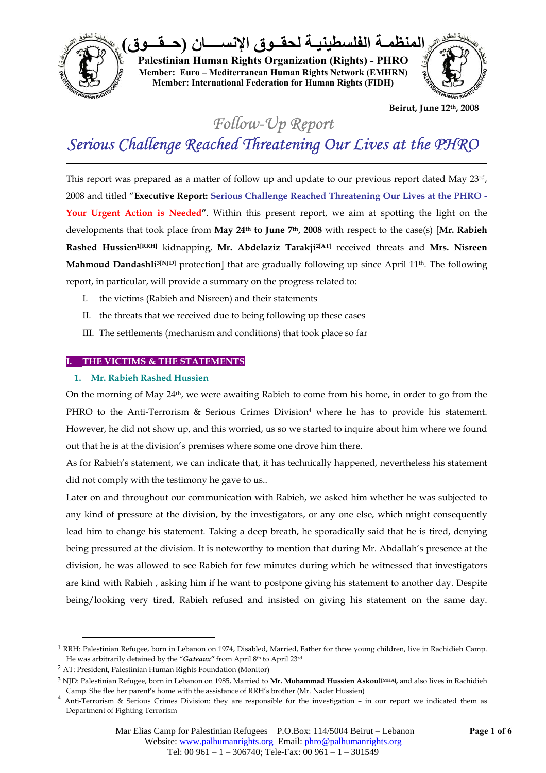

**Beirut, June 12th, 2008** 

*Follow-Up Report* 

# *Serious Challenge Reached Threatening Our Lives at the PHRO*

This report was prepared as a matter of follow up and update to our previous report dated May 23rd, 2008 and titled "**Executive Report: Serious Challenge Reached Threatening Our Lives at the PHRO - Your Urgent Action is Needed"**. Within this present report, we aim at spotting the light on the developments that took place from **May 24th to June 7th, 2008** with respect to the case(s) [**Mr. Rabieh Rashed Hussien1[RRH]** kidnapping, **Mr. Abdelaziz Tarakji2[AT]** received threats and **Mrs. Nisreen Mahmoud Dandashli<sup>3[NJD]</sup>** protection] that are gradually following up since April 11<sup>th</sup>. The following report, in particular, will provide a summary on the progress related to:

- I. the victims (Rabieh and Nisreen) and their statements
- II. the threats that we received due to being following up these cases
- III. The settlements (mechanism and conditions) that took place so far

## **I. THE VICTIMS & THE STATEMENTS**

### **1. Mr. Rabieh Rashed Hussien**

On the morning of May  $24<sup>th</sup>$ , we were awaiting Rabieh to come from his home, in order to go from the PHRO to the Anti-Terrorism & Serious Crimes Division<sup>4</sup> where he has to provide his statement. However, he did not show up, and this worried, us so we started to inquire about him where we found out that he is at the division's premises where some one drove him there.

As for Rabieh's statement, we can indicate that, it has technically happened, nevertheless his statement did not comply with the testimony he gave to us..

Later on and throughout our communication with Rabieh, we asked him whether he was subjected to any kind of pressure at the division, by the investigators, or any one else, which might consequently lead him to change his statement. Taking a deep breath, he sporadically said that he is tired, denying being pressured at the division. It is noteworthy to mention that during Mr. Abdallah's presence at the division, he was allowed to see Rabieh for few minutes during which he witnessed that investigators are kind with Rabieh , asking him if he want to postpone giving his statement to another day. Despite being/looking very tired, Rabieh refused and insisted on giving his statement on the same day.

<sup>&</sup>lt;sup>1</sup> RRH: Palestinian Refugee, born in Lebanon on 1974, Disabled, Married, Father for three young children, live in Rachidieh Camp. He was arbitrarily detained by the "Gateaux" from April 8th to April 23rd

<sup>2</sup> AT: President, Palestinian Human Rights Foundation (Monitor)

<sup>3</sup> NJD: Palestinian Refugee, born in Lebanon on 1985, Married to **Mr. Mohammad Hussien Askoul[MHA],** and also lives in Rachidieh

Camp. She flee her parent's home with the assistance of RRH's brother (Mr. Nader Hussien)<br>Anti-Terrorism & Serious Crimes Division: they are responsible for the investigation – in our report we indicated them as Department of Fighting Terrorism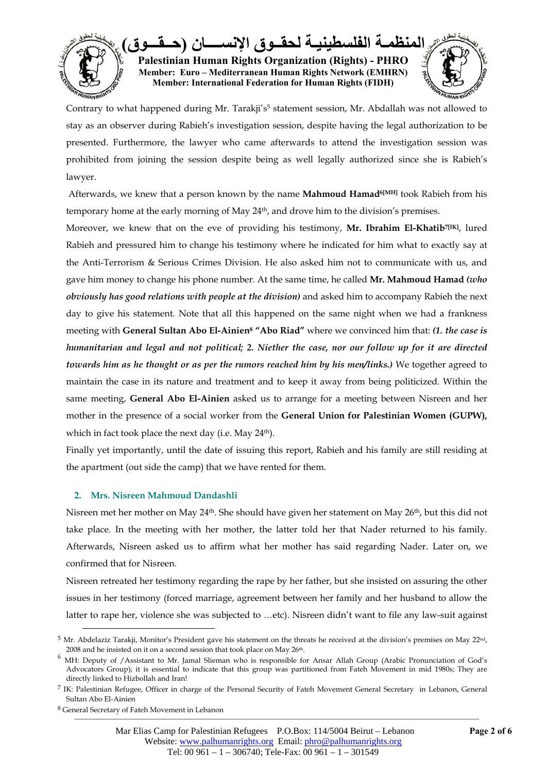

Contrary to what happened during Mr. Tarakji's<sup>5</sup> statement session, Mr. Abdallah was not allowed to stay as an observer during Rabieh's investigation session, despite having the legal authorization to be presented. Furthermore, the lawyer who came afterwards to attend the investigation session was prohibited from joining the session despite being as well legally authorized since she is Rabieh's lawyer.

 Afterwards, we knew that a person known by the name **Mahmoud Hamad6[MH]** took Rabieh from his temporary home at the early morning of May 24th, and drove him to the division's premises.

Moreover, we knew that on the eve of providing his testimony, **Mr. Ibrahim El-Khatib**<sup>7[IK]</sup>, lured Rabieh and pressured him to change his testimony where he indicated for him what to exactly say at the Anti-Terrorism & Serious Crimes Division. He also asked him not to communicate with us, and gave him money to change his phone number. At the same time, he called **Mr. Mahmoud Hamad** *(who obviously has good relations with people at the division)* and asked him to accompany Rabieh the next day to give his statement. Note that all this happened on the same night when we had a frankness meeting with **General Sultan Abo El-Ainien8 "Abo Riad"** where we convinced him that: *(1. the case is humanitarian and legal and not political; 2. Niether the case, nor our follow up for it are directed towards him as he thought or as per the rumors reached him by his men/links.)* We together agreed to maintain the case in its nature and treatment and to keep it away from being politicized. Within the same meeting, **General Abo El-Ainien** asked us to arrange for a meeting between Nisreen and her mother in the presence of a social worker from the **General Union for Palestinian Women (GUPW),**  which in fact took place the next day (i.e. May  $24<sup>th</sup>$ ).

Finally yet importantly, until the date of issuing this report, Rabieh and his family are still residing at the apartment (out side the camp) that we have rented for them.

## **2. Mrs. Nisreen Mahmoud Dandashli**

Nisreen met her mother on May 24th. She should have given her statement on May 26th, but this did not take place. In the meeting with her mother, the latter told her that Nader returned to his family. Afterwards, Nisreen asked us to affirm what her mother has said regarding Nader. Later on, we confirmed that for Nisreen.

Nisreen retreated her testimony regarding the rape by her father, but she insisted on assuring the other issues in her testimony (forced marriage, agreement between her family and her husband to allow the latter to rape her, violence she was subjected to …etc). Nisreen didn't want to file any law-suit against

 $5$  Mr. Abdelaziz Tarakji, Monitor's President gave his statement on the threats he received at the division's premises on May 22<sup>nd</sup>, 2008 and he insisted on it on a second session that took place on May 26<sup>th</sup>.

<sup>6</sup> MH: Deputy of /Assistant to Mr. Jamal Slieman who is responsible for Ansar Allah Group (Arabic Pronunciation of God's Advocators Group); it is essential to indicate that this group was partitioned from Fateh Movement in mid 1980s; They are directly linked to Hizbollah and Iran!

<sup>7</sup> IK: Palestinian Refugee, Officer in charge of the Personal Security of Fateh Movement General Secretary in Lebanon, General Sultan Abo El-Ainien

<sup>8</sup> General Secretary of Fateh Movement in Lebanon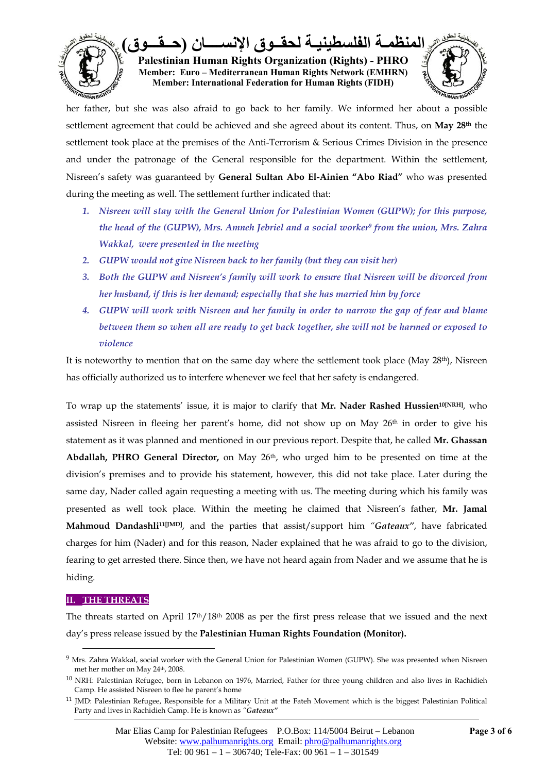

her father, but she was also afraid to go back to her family. We informed her about a possible settlement agreement that could be achieved and she agreed about its content. Thus, on **May 28th** the settlement took place at the premises of the Anti-Terrorism & Serious Crimes Division in the presence and under the patronage of the General responsible for the department. Within the settlement, Nisreen's safety was guaranteed by **General Sultan Abo El-Ainien "Abo Riad"** who was presented during the meeting as well. The settlement further indicated that:

- *1. Nisreen will stay with the General Union for Palestinian Women (GUPW); for this purpose, the head of the (GUPW), Mrs. Amneh Jebriel and a social worker9 from the union, Mrs. Zahra Wakkal, were presented in the meeting*
- *2. GUPW would not give Nisreen back to her family (but they can visit her)*
- *3. Both the GUPW and Nisreen's family will work to ensure that Nisreen will be divorced from her husband, if this is her demand; especially that she has married him by force*
- *4. GUPW will work with Nisreen and her family in order to narrow the gap of fear and blame between them so when all are ready to get back together, she will not be harmed or exposed to violence*

It is noteworthy to mention that on the same day where the settlement took place (May 28th), Nisreen has officially authorized us to interfere whenever we feel that her safety is endangered.

To wrap up the statements' issue, it is major to clarify that **Mr. Nader Rashed Hussien10[NRH]**, who assisted Nisreen in fleeing her parent's home, did not show up on May 26<sup>th</sup> in order to give his statement as it was planned and mentioned in our previous report. Despite that, he called **Mr. Ghassan**  Abdallah, PHRO General Director, on May 26<sup>th</sup>, who urged him to be presented on time at the division's premises and to provide his statement, however, this did not take place. Later during the same day, Nader called again requesting a meeting with us. The meeting during which his family was presented as well took place. Within the meeting he claimed that Nisreen's father, **Mr. Jamal Mahmoud Dandashli11[JMD]**, and the parties that assist/support him *"Gateaux"*, have fabricated charges for him (Nader) and for this reason, Nader explained that he was afraid to go to the division, fearing to get arrested there. Since then, we have not heard again from Nader and we assume that he is hiding.

## **II. THE THREATS**

 $\overline{a}$ 

The threats started on April 17th/18th 2008 as per the first press release that we issued and the next day's press release issued by the **Palestinian Human Rights Foundation (Monitor).**

<sup>&</sup>lt;sup>9</sup> Mrs. Zahra Wakkal, social worker with the General Union for Palestinian Women (GUPW). She was presented when Nisreen met her mother on May 24<sup>th</sup>, 2008.

<sup>10</sup> NRH: Palestinian Refugee, born in Lebanon on 1976, Married, Father for three young children and also lives in Rachidieh Camp. He assisted Nisreen to flee he parent's home

<sup>11</sup> JMD: Palestinian Refugee, Responsible for a Military Unit at the Fateh Movement which is the biggest Palestinian Political Party and lives in Rachidieh Camp. He is known as *"Gateaux"*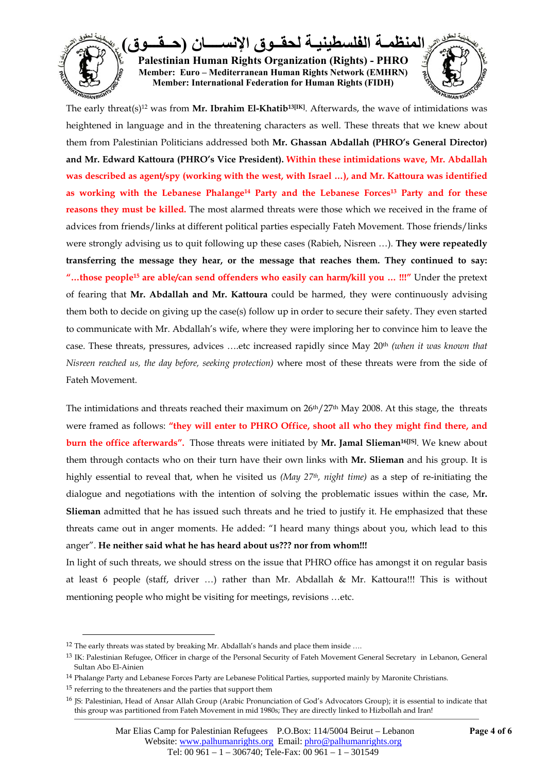

The early threat(s)<sup>12</sup> was from **Mr. Ibrahim El-Khatib<sup>13[IK]</sup>**. Afterwards, the wave of intimidations was heightened in language and in the threatening characters as well. These threats that we knew about them from Palestinian Politicians addressed both **Mr. Ghassan Abdallah (PHRO's General Director) and Mr. Edward Kattoura (PHRO's Vice President). Within these intimidations wave, Mr. Abdallah was described as agent/spy (working with the west, with Israel …), and Mr. Kattoura was identified as working with the Lebanese Phalange14 Party and the Lebanese Forces13 Party and for these reasons they must be killed.** The most alarmed threats were those which we received in the frame of advices from friends/links at different political parties especially Fateh Movement. Those friends/links were strongly advising us to quit following up these cases (Rabieh, Nisreen …). **They were repeatedly transferring the message they hear, or the message that reaches them. They continued to say: "…those people15 are able/can send offenders who easily can harm/kill you … !!!"** Under the pretext of fearing that **Mr. Abdallah and Mr. Kattoura** could be harmed, they were continuously advising them both to decide on giving up the case(s) follow up in order to secure their safety. They even started to communicate with Mr. Abdallah's wife, where they were imploring her to convince him to leave the case. These threats, pressures, advices ….etc increased rapidly since May 20th *(when it was known that Nisreen reached us, the day before, seeking protection)* where most of these threats were from the side of Fateh Movement.

The intimidations and threats reached their maximum on  $26<sup>th</sup>/27<sup>th</sup>$  May 2008. At this stage, the threats were framed as follows: **"they will enter to PHRO Office, shoot all who they might find there, and burn the office afterwards".** Those threats were initiated by **Mr. Jamal Slieman<sup>16[JS]</sup>**. We knew about them through contacts who on their turn have their own links with **Mr. Slieman** and his group. It is highly essential to reveal that, when he visited us *(May 27th, night time)* as a step of re-initiating the dialogue and negotiations with the intention of solving the problematic issues within the case, M**r. Slieman** admitted that he has issued such threats and he tried to justify it. He emphasized that these threats came out in anger moments. He added: "I heard many things about you, which lead to this anger". **He neither said what he has heard about us??? nor from whom!!!**

In light of such threats, we should stress on the issue that PHRO office has amongst it on regular basis at least 6 people (staff, driver …) rather than Mr. Abdallah & Mr. Kattoura!!! This is without mentioning people who might be visiting for meetings, revisions …etc.

<sup>&</sup>lt;sup>12</sup> The early threats was stated by breaking Mr. Abdallah's hands and place them inside ....

<sup>13</sup> IK: Palestinian Refugee, Officer in charge of the Personal Security of Fateh Movement General Secretary in Lebanon, General Sultan Abo El-Ainien

<sup>14</sup> Phalange Party and Lebanese Forces Party are Lebanese Political Parties, supported mainly by Maronite Christians.

<sup>15</sup> referring to the threateners and the parties that support them

<sup>16</sup> JS: Palestinian, Head of Ansar Allah Group (Arabic Pronunciation of God's Advocators Group); it is essential to indicate that this group was partitioned from Fateh Movement in mid 1980s; They are directly linked to Hizbollah and Iran!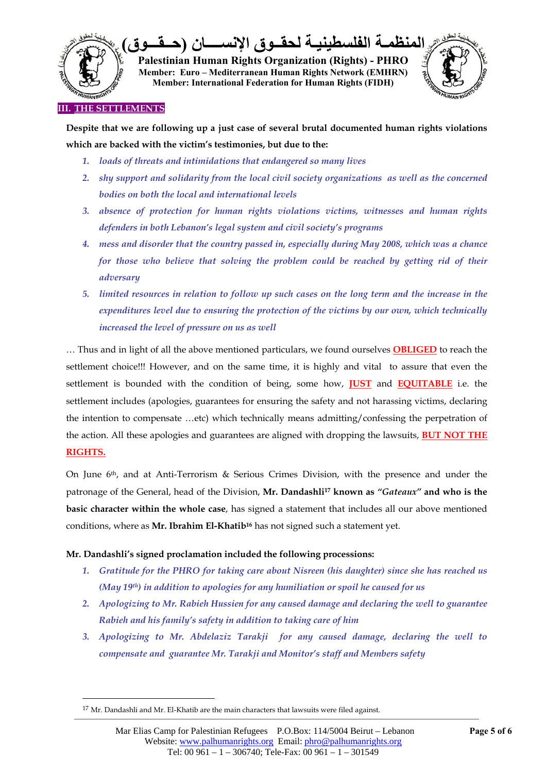

**Despite that we are following up a just case of several brutal documented human rights violations which are backed with the victim's testimonies, but due to the:** 

- *1. loads of threats and intimidations that endangered so many lives*
- *2. shy support and solidarity from the local civil society organizations as well as the concerned bodies on both the local and international levels*
- *3. absence of protection for human rights violations victims, witnesses and human rights defenders in both Lebanon's legal system and civil society's programs*
- *4. mess and disorder that the country passed in, especially during May 2008, which was a chance for those who believe that solving the problem could be reached by getting rid of their adversary*
- *5. limited resources in relation to follow up such cases on the long term and the increase in the expenditures level due to ensuring the protection of the victims by our own, which technically increased the level of pressure on us as well*

… Thus and in light of all the above mentioned particulars, we found ourselves **OBLIGED** to reach the settlement choice!!! However, and on the same time, it is highly and vital to assure that even the settlement is bounded with the condition of being, some how, **JUST** and **EQUITABLE** i.e. the settlement includes (apologies, guarantees for ensuring the safety and not harassing victims, declaring the intention to compensate …etc) which technically means admitting/confessing the perpetration of the action. All these apologies and guarantees are aligned with dropping the lawsuits, **BUT NOT THE RIGHTS.**

On June 6th, and at Anti-Terrorism & Serious Crimes Division, with the presence and under the patronage of the General, head of the Division, **Mr. Dandashli17 known as** *"Gateaux"* **and who is the basic character within the whole case**, has signed a statement that includes all our above mentioned conditions, where as **Mr. Ibrahim El-Khatib16** has not signed such a statement yet.

## **Mr. Dandashli's signed proclamation included the following processions:**

- *1. Gratitude for the PHRO for taking care about Nisreen (his daughter) since she has reached us (May 19th) in addition to apologies for any humiliation or spoil he caused for us*
- *2. Apologizing to Mr. Rabieh Hussien for any caused damage and declaring the well to guarantee Rabieh and his family's safety in addition to taking care of him*
- *3. Apologizing to Mr. Abdelaziz Tarakji for any caused damage, declaring the well to compensate and guarantee Mr. Tarakji and Monitor's staff and Members safety*

 $^{17}$  Mr. Dandashli and Mr. El-Khatib are the main characters that lawsuits were filed against.